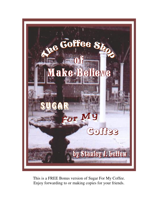

This is a FREE Bonus version of Sugar For My Coffee. Enjoy forwarding to or making copies for your friends.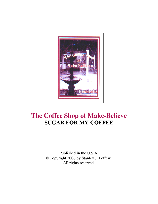

# **The Coffee Shop of Make-Believe SUGAR FOR MY COFFEE**

Published in the U.S.A. Copyright 2006 by Stanley J. Leffew. All rights reserved.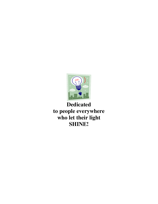

## **Dedicated to people everywhere who let their light SHINE!**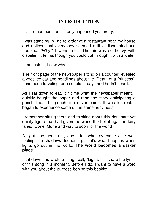## **INTRODUCTION**

I still remember it as if it only happened yesterday.

I was standing in line to order at a restaurant near my house and noticed that everybody seemed a little disoriented and troubled. "Why," I wondered. The air was so heavy with disbelief, it felt as though you could cut through it with a knife.

In an instant, I saw why!

The front page of the newspaper sitting on a counter revealed a wrecked car and headlines about the "Death of a Princess". I had been traveling for a couple of days and hadn't heard.

As I sat down to eat, it hit me what the newspaper meant. I quickly bought the paper and read the story anticipating a punch line. The punch line never came. It was for real. I began to experience some of the same heaviness.

I remember sitting there and thinking about this dominant yet dainty figure that had given the world the belief again in fairy tales. Gone! Gone and way to soon for the world!

A light had gone out, and I felt what everyone else was feeling, the shadows deepening. That's what happens when lights go out in the world. **The world becomes a darker place.** 

I sat down and wrote a song I call, "Lights". I'll share the lyrics of this song in a moment. Before I do, I want to have a word with you about the purpose behind this booklet.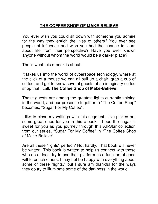## **THE COFFEE SHOP OF MAKE-BELIEVE**

You ever wish you could sit down with someone you admire for the way they enrich the lives of others? You ever see people of influence and wish you had the chance to learn about life from their perspective? Have you ever known anyone without whom the world would be a darker place?

That's what this e-book is about!

It takes us into the world of cyberspace technology, where at the click of a mouse we can all pull up a chair, grab a cup of coffee, and get to know several guests of an imaginary coffee shop that I call, **The Coffee Shop of Make-Believe.**

These guests are among the greatest lights currently shining in the world, and our presence together in "The Coffee Shop" becomes, "Sugar For My Coffee".

I like to close my writings with this segment. I've picked out some great ones for you in this e-book. I hope the sugar is sweet for you as you journey through this All-Star collection from our series, "Sugar For My Coffee" in "The Coffee Shop of Make-Believe".

Are all these "lights" perfect? Not hardly. That book will never be written. This book is written to help us connect with those who do at least try to use their platform as a function of good will to enrich others. I may not be happy with everything about some of these "lights," but I sure am thankful for the ways they do try to illuminate some of the darkness in the world.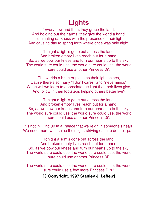# **Lights**

"Every now and then, they grace the land, And holding out their arms, they give the world a hand. Illuminating darkness with the presence of their light And causing day to spring forth where once was only night.

Tonight a light's gone out across the land, And broken empty lives reach out for a hand. So, as we bow our knees and turn our hearts up to the sky, The world sure could use, the world sure could use, the world sure could use another Princess Di'.

The worlds a brighter place as their light shines, Cause there's so many "I don't cares" and "neverminds". When will we learn to appreciate the light that their lives give, And follow in their footsteps helping others better live?

Tonight a light's gone out across the land, And broken empty lives reach out for a hand. So, as we bow our knees and turn our hearts up to the sky, The world sure could use, the world sure could use, the world sure could use another Princess Di'.

It's not in living up in a Palace that we reign in someone's heart. We need more who shine their light, striving each to do their part.

Tonight a light's gone out across the land, And broken empty lives reach out for a hand. So, as we bow our knees and turn our hearts up to the sky, The world sure could use, the world sure could use, the world sure could use another Princess Di'.

The world sure could use, the world sure could use, the world sure could use a few more Princess Di's."

**[© Copyright, 1997 Stanley J. Leffew]**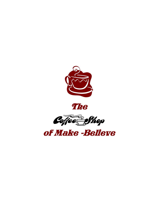





of Make -Believe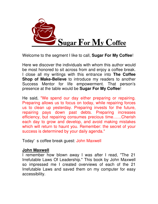

Here we discover the individuals with whom this author would be most honored to sit across from and enjoy a coffee break. I close all my writings with this entrance into **The Coffee Shop of Make-Believe** to introduce my readers to another Success Mentor for life empowerment. That person's presence at the table would be **Sugar For My Coffee**!

He said, "We spend our day either preparing or repairing. Preparing allows us to focus on today, while repairing forces us to clean up yesterday. Preparing invests for the future, repairing pays down past debts. Preparing increases efficiency, but repairing consumes precious time……Cherish each day to grow and develop, and avoid making mistakes which will return to haunt you. Remember: the secret of your success is determined by your daily agenda."

Today's coffee break guest: John Maxwell

#### **John Maxwell**

I remember how blown away I was after I read, "The 21 Irrefutable Laws Of Leadership." This book by John Maxwell so impressed me I created overviews of each of the 21 Irrefutable Laws and saved them on my computer for easy accessibility.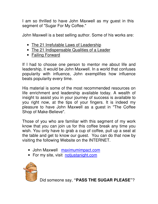I am so thrilled to have John Maxwell as my guest in this segment of "Sugar For My Coffee."

John Maxwell is a best selling author. Some of his works are:

- The 21 Irrefutable Laws of Leadership
- The 21 Indispensable Qualities of a Leader
- Failing Forward

If I had to choose one person to mentor me about life and leadership, it would be John Maxwell. In a world that confuses popularity with influence, John exemplifies how influence beats popularity every time.

His material is some of the most recommended resources on life enrichment and leadership available today. A wealth of insight to assist you in your journey of success is available to you right now, at the tips of your fingers. It is indeed my pleasure to have John Maxwell as a guest in "The Coffee Shop of Make-Believe".

Those of you who are familiar with this segment of my work know that you can join us for this coffee break any time you wish. You only have to grab a cup of coffee, pull up a seat at the table and get to know our guest. You can do that now by visiting the following Website on the INTERNET.

- John Maxwell [maximumimpact.com](http://maximumimpact.com/)
- For my site, visit notjustanight.com

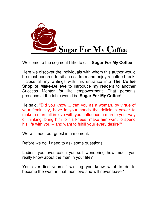

Here we discover the individuals with whom this author would be most honored to sit across from and enjoy a coffee break. I close all my writings with this entrance into **The Coffee Shop of Make-Believe** to introduce my readers to another Success Mentor for life empowerment. That person's presence at the table would be **Sugar For My Coffee**!

He said, "Did you know ... that you as a woman, by virtue of your femininity, have in your hands the delicious power to make a man fall in love with you, influence a man to your way of thinking, bring him to his knees, make him want to spend his life with you -- and want to fulfill your every desire?"

We will meet our guest in a moment.

Before we do, I need to ask some questions.

Ladies, you ever catch yourself wondering how much you really know about the man in your life?

You ever find yourself wishing you knew what to do to become the woman that men love and will never leave?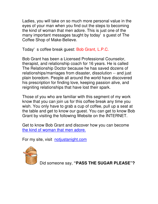Ladies, you will take on so much more personal value in the eyes of your man when you find out the steps to becoming the kind of woman that men adore. This is just one of the many important messages taught by today's guest of The Coffee Shop of Make-Believe.

Today's coffee break guest: Bob Grant, L.P.C.

Bob Grant has been a Licensed Professional Counselor, therapist, and relationship coach for 16 years. He is called The Relationship Doctor because he has saved dozens of relationships/marriages from disaster, dissolution -- and just plain boredom. People all around the world have discovered his prescription for finding love, keeping passion alive, and reigniting relationships that have lost their spark.

Those of you who are familiar with this segment of my work know that you can join us for this coffee break any time you wish. You only have to grab a cup of coffee, pull up a seat at the table and get to know our guest. You can get to know Bob Grant by visiting the following Website on the INTERNET.

Get to know Bob Grant and discover how you can become [the kind of woman that men adore.](http://6elements.liebe17.hop.clickbank.net/)

For my site, visit [notjustanight.com](http://www.advice-for-lifetime-relationships.com/lasting-relationships.html)

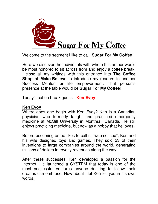

Here we discover the individuals with whom this author would be most honored to sit across from and enjoy a coffee break. I close all my writings with this entrance into **The Coffee Shop of Make-Believe** to introduce my readers to another Success Mentor for life empowerment. That person's presence at the table would be **Sugar For My Coffee**!

Today's coffee break guest: **Ken Evoy**

## **Ken Evoy**

Where does one begin with Ken Evoy? Ken is a Canadian physician who formerly taught and practiced emergency medicine at McGill University in Montreal, Canada. He still enjoys practicing medicine, but now as a hobby that he loves.

Before becoming as he likes to call it, "web-sessed", Ken and his wife designed toys and games. They sold 23 of their inventions to large companies around the world, generating millions of dollars in royalty revenues along the way.

After these successes, Ken developed a passion for the Internet. He launched a SYSTEM that today is one of the most successful ventures anyone desiring to follow their dreams can embrace. How about I let Ken tell you in his own words.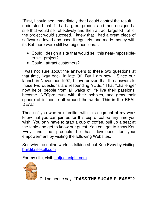"First, I could see immediately that I could control the result. I understood that if I had a great product and then designed a site that would sell effectively and then attract targeted traffic, the project would succeed. I knew that I had a great piece of software (I loved and used it regularly, and made money with it). But there were still two big questions…

- Could I design a site that would sell this near-impossibleto-sell-project?
- Could I attract customers?

I was not sure about the answers to these two questions at that time, 'way back' in late '96. But I am now… Since our launch in November 1997, I have proven that the answers to those two questions are resounding YESs." That "challenge" now helps people from all walks of life live their passions, become INFOpreneurs with their hobbies, and grow their sphere of influence all around the world. This is the REAL DEAL!

Those of you who are familiar with this segment of my work know that you can join us for this cup of coffee any time you wish. You only have to grab a cup of coffee, pull up a seat at the table and get to know our guest. You can get to know Ken Evoy and the products he has developed for your empowerment by visiting the following Websites.

See why the online world is talking about Ken Evoy by visiting [buildit.sitesell.com](http://buildit.sitesell.com/uFactor.html)

For my site, visit [notjustanight.com](http://www.advice-for-lifetime-relationships.com/lasting-relationships.html)

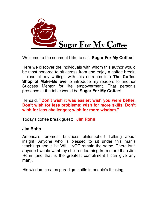

Here we discover the individuals with whom this author would be most honored to sit across from and enjoy a coffee break. I close all my writings with this entrance into **The Coffee Shop of Make-Believe** to introduce my readers to another Success Mentor for life empowerment. That person's presence at the table would be **Sugar For My Coffee**!

He said, **"Don't wish it was easier; wish you were better. Don't wish for less problems; wish for more skills. Don't wish for less challenges; wish for more wisdom."**

Today's coffee break guest: **Jim Rohn**

## **Jim Rohn**

America's foremost business philosopher! Talking about insight! Anyone who is blessed to sit under this man's teachings about life WILL NOT remain the same. There isn't anyone I would want my children learning from more than Jim Rohn (and that is the greatest compliment I can give any man).

His wisdom creates paradigm shifts in people's thinking.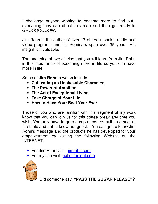I challenge anyone wishing to become more to find out everything they can about this man and then get ready to GROOOOOOOW.

Jim Rohn is the author of over 17 different books, audio and video programs and his Seminars span over 39 years. His insight is invaluable.

The one thing above all else that you will learn from Jim Rohn is the importance of becoming more in life so you can have more in life.

Some of **Jim Rohn's** works include:

- **Cultivating an Unshakable Character**
- **The Power of Ambition**
- **The Art of Exceptional Living**
- **Take Charge of Your Life**
- **How to Have Your Best Year Ever**

Those of you who are familiar with this segment of my work know that you can join us for this coffee break any time you wish. You only have to grab a cup of coffee, pull up a seat at the table and get to know our guest. You can get to know Jim Rohn's message and the products he has developed for your empowerment by visiting the following Website on the INTERNET.

- For Jim Rohn visit jimrohn.com
- For my site visit notiustanight.com

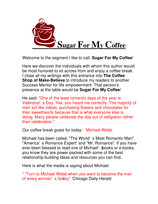

Here we discover the individuals with whom this author would be most honored to sit across from and enjoy a coffee break. I close all my writings with this entrance into **The Coffee Shop of Make-Believe** to introduce my readers to another Success Mentor for life empowerment. That person's presence at the table would be **Sugar For My Coffee**!

He said: "One of the least romantic days of the year is Valentine's Day. Yes, you heard me correctly. The majority of men act like robots, purchasing flowers and chocolates for their sweethearts because that is what everyone else is doing. Many people celebrate the day out of obligation rather than celebration."

Our coffee break guest for today: Michael Webb

Michael has been called, "The World's Most Romantic Man", "America's Romance Expert" and "Mr. Romance". If you have ever been blessed to read one of Michael' sbooks or e-books, you know they are power-packed with some of the best relationship building ideas and resources you can find.

Here is what the media is saying about Michael.

\* "Turn to Michael Webb when you want to become the man of every woman's fanatsy". Chicago Daily Herald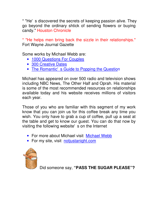\* "He's discovered the secrets of keeping passion alive. They go beyond the ordinary shtick of sending flowers or buying candy." Houston Chronicle

\* "He helps men bring back the sizzle in their relationships." Fort Wayne Journal Gazette

Some works by Michael Webb are:

- [1000 Questions For Couples](http://6elements.couples.hop.clickbank.net/)
- [300 Creative Dates](http://6elements.300dates.hop.clickbank.net/)
- [The Romantic's Guide to Popping the Questio](http://6elements.proposals.hop.clickbank.net/)n

Michael has appeared on over 500 radio and television shows including NBC News, The Other Half and Oprah. His material is some of the most recommended resources on relationships available today and his website receives millions of visitors each year.

Those of you who are familiar with this segment of my work know that you can join us for this coffee break any time you wish. You only have to grab a cup of coffee, pull up a seat at the table and get to know our guest. You can do that now by visiting the following website's on the Internet

- For more about Michael visit [Michael Webb](http://6elements.50secrets.hop.clickbank.net/)
- For my site, visit [notjustanight.com](http://www.advice-for-lifetime-relationships.com/lasting-relationships.html)

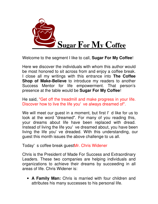

Here we discover the individuals with whom this author would be most honored to sit across from and enjoy a coffee break. I close all my writings with this entrance into **The Coffee Shop of Make-Believe** to introduce my readers to another Success Mentor for life empowerment. That person's presence at the table would be **Sugar For My Coffee**!

He said, "Get off the treadmill and make progress in your life. Discover how to live the life you've always dreamed of".

We will meet our guest in a moment, but first I' d like for us to look at the word "dreamed". For many of you reading this, your dreams about life have been replaced with dread. Instead of living the life you've dreamed about, you have been living the life you've dreaded. With this understanding, our guest this month issues the above challenge to us all.

Today's coffee break guestMr. Chris Widener

Chris is the President of Made For Success and Extraordinary Leaders. These two companies are helping individuals and organizations to achieve their dreams by succeeding in all areas of life. Chris Widener is:

• **A Family Man:** Chris is married with four children and attributes his many successes to his personal life.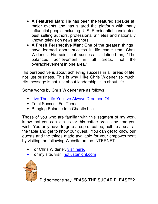- **A Featured Man:** He has been the featured speaker at major events and has shared the platform with many influential people including U. S. Presidential candidates, best selling authors, professional athletes and nationally known television news anchors.
- **A Fresh Perspective Man:** One of the greatest things I have learned about success in life came from Chris Widener. He said that success is defined as, "The balanced achievement in all areas, not the overachievement in one area."

His perspective is about achieving success in all areas of life, not just business. This is why I like Chris Widener so much. His message is not just about leadership, it's about life.

Some works by Chris Widener are as follows:

- [Live The Life You've Always Dreamed O](http://madeforsuccess.com/live.asp?aff=193)f
- Total Success For Teens
- Bringing Balance to a Chaotic Life

Those of you who are familiar with this segment of my work know that you can join us for this coffee break any time you wish. You only have to grab a cup of coffee, pull up a seat at the table and get to know our guest. You can get to know our guests and the things made available for your empowerment by visiting the following Website on the INTERNET.

- For Chris Widener, [visit here.](http://madeforsuccess.com/default.asp?aff=193)
- For my site, visit notiustanight.com

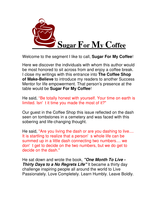

Here we discover the individuals with whom this author would be most honored to sit across from and enjoy a coffee break. I close my writings with this entrance into **The Coffee Shop of Make-Believe** to introduce my readers to another Success Mentor for life empowerment. That person's presence at the table would be **Sugar For My Coffee**!

He said, "Be totally honest with yourself. Your time on earth is limited. Isn't it time you made the most of it?"

Our guest in the Coffee Shop this issue reflected on the dash seen on tombstones in a cemetery and was faced with this sobering and life-changing thought.

He said, "Are you living the dash or are you dashing to live.... It is startling to realize that a person's whole life can be summed up in a little dash connecting two numbers.... we don't get to decide on the two numbers, but we do get to decide on the dash."

He sat down and wrote the book, *"One Month To Live - Thirty Days to a No Regrets Life"* It became a thirty day challenge inspiring people all around the world to Live Passionately. Love Completely. Learn Humbly. Leave Boldly.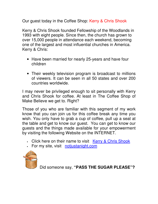Our guest today in the Coffee Shop: Kerry & Chris Shook

Kerry & Chris Shook founded Fellowship of the Woodlands in 1993 with eight people. Since then, the church has grown to over 15,000 people in attendance each weekend, becoming one of the largest and most influential churches in America. Kerry & Chris:

- Have been married for nearly 25-years and have four children
- Their weekly television program is broadcast to millions of viewers. It can be seen in all 50 states and over 200 countries worldwide.

I may never be privileged enough to sit personally with Kerry and Chris Shook for coffee. At least in The Coffee Shop of Make Believe we get to. Right?

Those of you who are familiar with this segment of my work know that you can join us for this coffee break any time you wish. You only have to grab a cup of coffee, pull up a seat at the table and get to know our guest. You can get to know our guests and the things made available for your empowerment by visiting the following Website on the INTERNET.

- Click here on their name to visit [Kerry & Chris Shook](http://www.onemonthtolive.com/)
- For my site, visit notiustanight.com

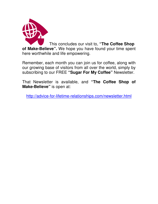

This concludes our visit to, **"The Coffee Shop of Make-Believe".** We hope you have found your time spent here worthwhile and life empowering.

Remember, each month you can join us for coffee, along with our growing base of visitors from all over the world, simply by subscribing to our FREE **"Sugar For My Coffee"** Newsletter.

That Newsletter is available, and **"The Coffee Shop of Make-Believe"** is open at:

<http://advice-for-lifetime-relationships.com/newsletter.html>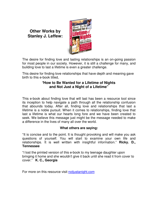## **Other Works by Stanley J. Leffew:**



The desire for finding love and lasting relationships is an on-going passion for most people in our society. However, it is still a challenge for many, and building love to last a lifetime is even a greater challenge.

This desire for finding love relationships that have depth and meaning gave birth to this e-book titled,

#### **"How to Be Wanted for a Lifetime of Nights and Not Just a Night of a Lifetime"**

This e-book about finding love that will last has been a resource tool since its inception to help navigate a path through all the relationship confusion that abounds today. After all, finding love and relationships that last a lifetime is a noble pursuit. When it comes to relationships, finding love that last a lifetime is what our hearts long fore and we have been created to seek. We believe this message just might be the message needed to make a difference in the lives of many all over the world.

#### **What others are saying:**

"It is concise and to the point. It is thought provoking and will make you ask questions of yourself. You will start to examine your own life and relationships. It is well written with insightful information." **Ricky. D., Tennessee**

"I lost the printed version of this e-book to my teenage daughter upon bringing it home and she wouldn't give it back until she read it from cover to cover." **K. C., Georgia**

For more on this resource visit [notjustanight.com](http://www.advice-for-lifetime-relationships.com/lasting-relationships.html)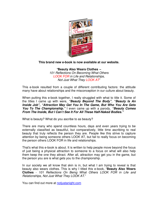

#### **This brand new e-book is now available at our website.**

**"Beauty Also Wears Clothes –** *101 Reflections On Becoming What Others LOOK FOR in Life and Relationships, Not Just What They LOOK AT*"

This e-book resulted from a couple of different contributing factors: the attitude many have about relationships and the misconception in our culture about beauty.

When putting this e-book together, I really struggled with what to title it. Some of the titles I came up with were, *"Beauty Beyond The Body"*, *"Beauty Is An Inside Job", "Attraction May Get You In The Game, But Who You Are Gets You To The Championship."* I even came up with a parody, *"Beauty Comes From The Inside, But I Can't See It For All These Half-Naked Bodies."*

What is beauty? What do you ascribe to as beauty?

There are many who spend countless hours, days and even years trying to be externally classified as beautiful, but comparatively, little time ascribing to real beauty that truly reflects the person they are. People like this strive to capture attention by being someone others LOOK AT, but fail to really focus on becoming the person others LOOK FOR in life and relationships.

That's what this e-book is about. It is written to help people move beyond the focus of just being a physical attraction to someone to a focus on what will also help them keep the one they attract. After all, attraction may get you in the game, but the person you are is what gets you to the championship.

In our society we all know that skin is in, but what I am trying to reveal is that beauty also wears clothes. This is why I titled this e-book, "**Beauty Also Wears Clothes** - *101 Reflections On Being What Others LOOK FOR in Life and Relationships, Not Just What They LOOK AT*."

You can find out more at [notjustanight.com](http://www.advice-for-lifetime-relationships.com/lasting-relationships.html)